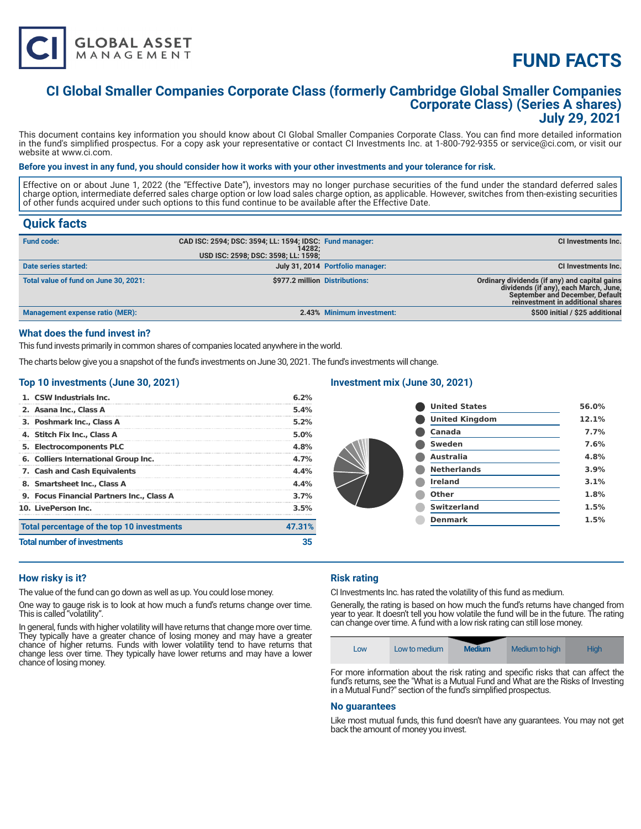

# **FUND FACTS**

### **CI Global Smaller Companies Corporate Class (formerly Cambridge Global Smaller Companies Corporate Class) (Series A shares) July 29, 2021**

This document contains key information you should know about CI Global Smaller Companies Corporate Class. You can find more detailed information in the fund's simplified prospectus. For a copy ask your representative or contact CI Investments Inc. at 1-800-792-9355 or service@ci.com, or visit our website at www.ci.com.

#### **Before you invest in any fund, you should consider how it works with your other investments and your tolerance for risk.**

Effective on or about June 1, 2022 (the "Effective Date"), investors may no longer purchase securities of the fund under the standard deferred sales charge option, intermediate deferred sales charge option or low load sales charge option, as applicable. However, switches from then-existing securities of other funds acquired under such options to this fund continue to be available after the Effective Date.

### **Quick facts**

| <b>Fund code:</b>                     | CAD ISC: 2594; DSC: 3594; LL: 1594; IDSC: Fund manager:<br>14282:<br>USD ISC: 2598; DSC: 3598; LL: 1598; |                                  | CI Investments Inc.                                                                                                                                            |
|---------------------------------------|----------------------------------------------------------------------------------------------------------|----------------------------------|----------------------------------------------------------------------------------------------------------------------------------------------------------------|
| Date series started:                  |                                                                                                          | July 31, 2014 Portfolio manager: | CI Investments Inc.                                                                                                                                            |
| Total value of fund on June 30, 2021: |                                                                                                          | \$977.2 million Distributions:   | Ordinary dividends (if any) and capital gains<br>dividends (if any), each March, June,<br>September and December, Default<br>reinvestment in additional shares |
| Management expense ratio (MER):       |                                                                                                          | 2.43% Minimum investment:        | \$500 initial / \$25 additional                                                                                                                                |

#### **What does the fund invest in?**

This fund invests primarily in common shares of companies located anywhere in the world.

The charts below give you a snapshot of the fund's investments on June 30, 2021. The fund's investments will change.

#### **Top 10 investments (June 30, 2021)**

| 1. CSW Industrials Inc.                    | 6.2%   |
|--------------------------------------------|--------|
| 2. Asana Inc., Class A                     | 5.4%   |
| 3. Poshmark Inc., Class A                  | 5.2%   |
| 4. Stitch Fix Inc., Class A                | 5.0%   |
| 5. Electrocomponents PLC                   | 4.8%   |
| 6. Colliers International Group Inc.       | 4.7%   |
| 7. Cash and Cash Equivalents               | 4.4%   |
| 8. Smartsheet Inc., Class A                | 4.4%   |
| 9. Focus Financial Partners Inc., Class A  | 3.7%   |
| 10. LivePerson Inc.                        | 3.5%   |
| Total percentage of the top 10 investments | 47.31% |
| <b>Total number of investments</b>         | 35     |

#### **Investment mix (June 30, 2021)**

| <b>United States</b>  | 56.0% |
|-----------------------|-------|
| <b>United Kingdom</b> | 12.1% |
| Canada                | 7.7%  |
| <b>Sweden</b>         | 7.6%  |
| <b>Australia</b>      | 4.8%  |
| <b>Netherlands</b>    | 3.9%  |
| <b>Ireland</b>        | 3.1%  |
| Other                 | 1.8%  |
| <b>Switzerland</b>    | 1.5%  |
| <b>Denmark</b>        | 1.5%  |
|                       |       |

#### **How risky is it?**

The value of the fund can go down as well as up. You could lose money.

One way to gauge risk is to look at how much a fund's returns change over time. This is called "volatility".

In general, funds with higher volatility will have returns that change more over time. They typically have a greater chance of losing money and may have a greater chance of higher returns. Funds with lower volatility tend to have returns that change less over time. They typically have lower returns and may have a lower chance of losing money.

#### **Risk rating**

CI Investments Inc. has rated the volatility of this fund as medium.

Generally, the rating is based on how much the fund's returns have changed from year to year. It doesn't tell you how volatile the fund will be in the future. The rating can change over time. A fund with a low risk rating can still lose money.



For more information about the risk rating and specific risks that can affect the fund's returns, see the "What is a Mutual Fund and What are the Risks of Investing in a Mutual Fund?" section of the fund's simplified prospectus.

#### **No guarantees**

Like most mutual funds, this fund doesn't have any guarantees. You may not get back the amount of money you invest.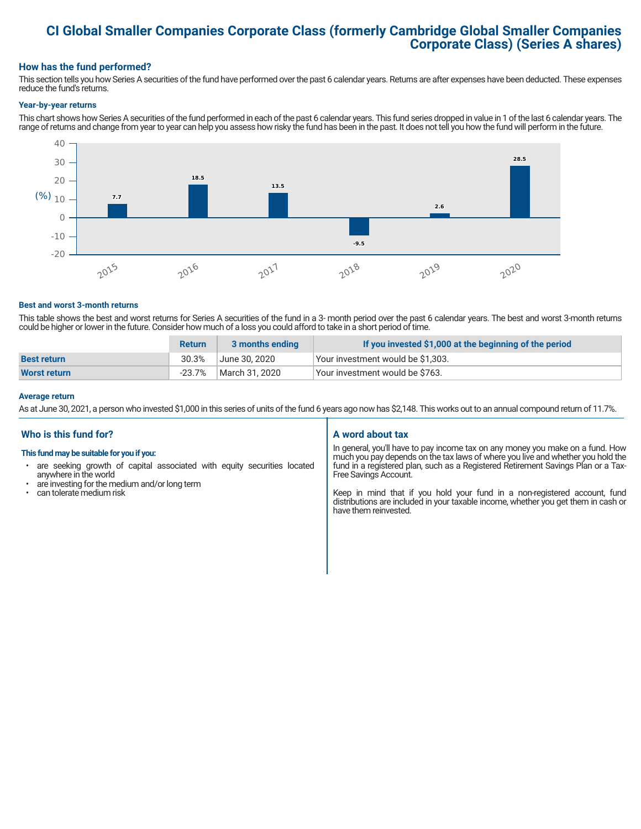## **CI Global Smaller Companies Corporate Class (formerly Cambridge Global Smaller Companies Corporate Class) (Series A shares)**

#### **How has the fund performed?**

This section tells you how Series A securities of the fund have performed over the past 6 calendar years. Returns are after expenses have been deducted. These expenses reduce the fund's returns.

#### **Year-by-year returns**

This chart shows how Series A securities of the fund performed in each of the past 6 calendar years. This fund series dropped in value in 1 of the last 6 calendar years. The range of returns and change from year to year can help you assess how risky the fund has been in the past. It does not tell you how the fund will perform in the future.



#### **Best and worst 3-month returns**

This table shows the best and worst returns for Series A securities of the fund in a 3- month period over the past 6 calendar years. The best and worst 3-month returns could be higher or lower in the future. Consider how much of a loss you could afford to take in a short period of time.

|                     | <b>Return</b> | 3 months ending | If you invested \$1,000 at the beginning of the period |
|---------------------|---------------|-----------------|--------------------------------------------------------|
| <b>Best return</b>  | 30.3%         | June 30. 2020   | Your investment would be \$1,303.                      |
| <b>Worst return</b> | $-23.7%$      | March 31, 2020  | Vour investment would be \$763.                        |

#### **Average return**

As at June 30, 2021, a person who invested \$1,000 in this series of units of the fund 6 years ago now has \$2,148. This works out to an annual compound return of 11.7%.

#### **Who is this fund for?**

#### **This fund may be suitable for you if you:**

- are seeking growth of capital associated with equity securities located anywhere in the world
- are investing for the medium and/or long term<br>• can tolerate medium risk
- can tolerate medium risk

#### **A word about tax**

In general, you'll have to pay income tax on any money you make on a fund. How much you pay depends on the tax laws of where you live and whether you hold the fund in a registered plan, such as a Registered Retirement Savings Plan or a Tax-Free Savings Account.

Keep in mind that if you hold your fund in a non-registered account, fund distributions are included in your taxable income, whether you get them in cash or have them reinvested.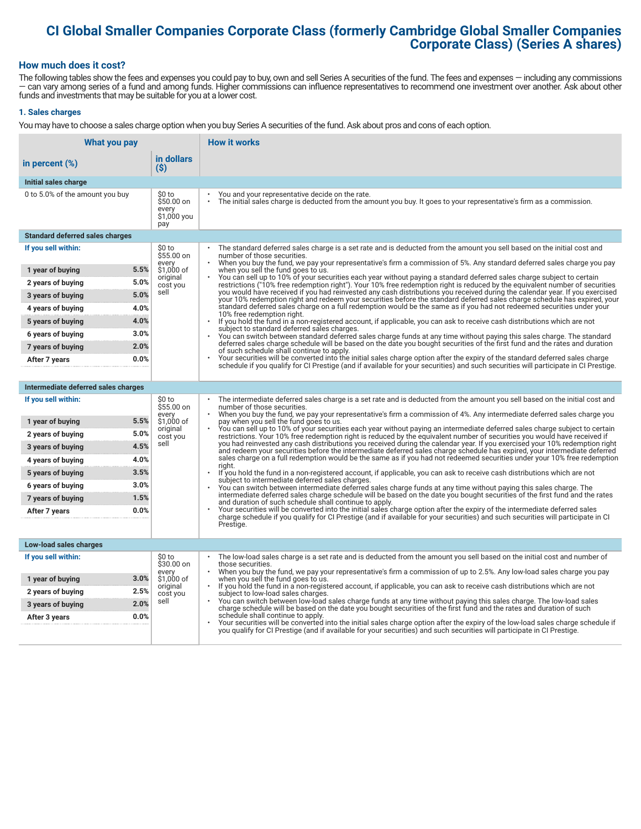# **CI Global Smaller Companies Corporate Class (formerly Cambridge Global Smaller Companies Corporate Class) (Series A shares)**

#### **How much does it cost?**

The following tables show the fees and expenses you could pay to buy, own and sell Series A securities of the fund. The fees and expenses — including any commissions — can vary among series of a fund and among funds. Higher commissions can influence representatives to recommend one investment over another. Ask about other funds and investments that may be suitable for you at a lower cost.

#### **1. Sales charges**

You may have to choose a sales charge option when you buy Series A securities of the fund. Ask about pros and cons of each option.

| What you pay                           |                                                     | <b>How it works</b>                                                                                                                                                                                                                                                                   |
|----------------------------------------|-----------------------------------------------------|---------------------------------------------------------------------------------------------------------------------------------------------------------------------------------------------------------------------------------------------------------------------------------------|
| in percent $(\%)$                      | in dollars<br>$(\$)$                                |                                                                                                                                                                                                                                                                                       |
| Initial sales charge                   |                                                     |                                                                                                                                                                                                                                                                                       |
| 0 to 5.0% of the amount you buy        | \$0 to<br>\$50.00 on<br>every<br>\$1,000 you<br>pay | You and your representative decide on the rate.<br>The initial sales charge is deducted from the amount you buy. It goes to your representative's firm as a commission.                                                                                                               |
| <b>Standard deferred sales charges</b> |                                                     |                                                                                                                                                                                                                                                                                       |
| If you sell within:                    | \$0 to<br>\$55.00 on                                | The standard deferred sales charge is a set rate and is deducted from the amount you sell based on the initial cost and<br>number of those securities.<br>When you buy the fund, we pay your representative's firm a commission of 5%. Any standard deferred sales charge you pay     |
| 5.5%<br>1 year of buying               | every<br>\$1,000 of                                 | when you sell the fund goes to us.                                                                                                                                                                                                                                                    |
| 5.0%<br>2 years of buying              | original<br>cost you                                | You can sell up to 10% of your securities each year without paying a standard deferred sales charge subject to certain<br>restrictions ("10% free redemption right"). Your 10% free redemption right is reduced by the equivalent number of securities                                |
| 5.0%<br>3 years of buying              | sell                                                | you would have received if you had reinvested any cash distributions you received during the calendar year. If you exercised<br>your 10% redemption right and redeem your securities before the standard deferred sales charge schedule has expired, your                             |
| 4.0%<br>4 years of buying              |                                                     | standard deferred sales charge on a full redemption would be the same as if you had not redeemed securities under your<br>10% free redemption right.                                                                                                                                  |
| 4.0%<br>5 years of buying              |                                                     | If you hold the fund in a non-registered account, if applicable, you can ask to receive cash distributions which are not<br>subject to standard deferred sales charges.                                                                                                               |
| 3.0%<br>6 years of buying              |                                                     | You can switch between standard deferred sales charge funds at any time without paying this sales charge. The standard                                                                                                                                                                |
| 2.0%<br>7 years of buying              |                                                     | deferred sales charge schedule will be based on the date you bought securities of the first fund and the rates and duration<br>of such schedule shall continue to apply.                                                                                                              |
| 0.0%<br>After 7 years                  |                                                     | Your securities will be converted into the initial sales charge option after the expiry of the standard deferred sales charge<br>schedule if you qualify for CI Prestige (and if available for your securities) and such securities will participate in CI Prestige.                  |
|                                        |                                                     |                                                                                                                                                                                                                                                                                       |
| Intermediate deferred sales charges    |                                                     |                                                                                                                                                                                                                                                                                       |
| If you sell within:                    | \$0 to<br>\$55.00 on<br>every                       | The intermediate deferred sales charge is a set rate and is deducted from the amount you sell based on the initial cost and<br>number of those securities.<br>When you buy the fund, we pay your representative's firm a commission of 4%. Any intermediate deferred sales charge you |
| 5.5%<br>1 year of buying               | \$1,000 of<br>original                              | pay when you sell the fund goes to us.<br>You can sell up to 10% of your securities each year without paying an intermediate deferred sales charge subject to certain                                                                                                                 |
| 5.0%<br>2 years of buying              | cost you                                            | restrictions. Your 10% free redemption right is reduced by the equivalent number of securities you would have received if                                                                                                                                                             |
| 4.5%<br>3 years of buying              | sell                                                | you had reinvested any cash distributions you received during the calendar year. If you exercised your 10% redemption right<br>and redeem your securities before the intermediate deferred sales charge schedule has expired, your intermediate deferred                              |
| 4.0%<br>4 years of buying              |                                                     | sales charge on a full redemption would be the same as if you had not redeemed securities under your 10% free redemption<br>riaht.                                                                                                                                                    |
| 3.5%<br>5 years of buying              |                                                     | If you hold the fund in a non-registered account, if applicable, you can ask to receive cash distributions which are not<br>subject to intermediate deferred sales charges.                                                                                                           |
| 3.0%<br>6 years of buying              |                                                     | You can switch between intermediate deferred sales charge funds at any time without paying this sales charge. The<br>intermediate deferred sales charge schedule will be based on the date you bought securities of the first fund and the rates                                      |
| 1.5%<br>7 years of buying              |                                                     | and duration of such schedule shall continue to apply.                                                                                                                                                                                                                                |
| 0.0%<br>After 7 years                  |                                                     | Your securities will be converted into the initial sales charge option after the expiry of the intermediate deferred sales<br>charge schedule if you qualify for CI Prestige (and if available for your securities) and such securities will participate in CI                        |
|                                        |                                                     | Prestige.                                                                                                                                                                                                                                                                             |
| Low-load sales charges                 |                                                     |                                                                                                                                                                                                                                                                                       |
| If you sell within:                    | \$0 to                                              | The low-load sales charge is a set rate and is deducted from the amount you sell based on the initial cost and number of                                                                                                                                                              |
|                                        | \$30.00 on<br>every                                 | those securities.<br>When you buy the fund, we pay your representative's firm a commission of up to 2.5%. Any low-load sales charge you pay                                                                                                                                           |
| 3.0%<br>1 year of buying               | \$1,000 of<br>original                              | when you sell the fund goes to us.<br>If you hold the fund in a non-registered account, if applicable, you can ask to receive cash distributions which are not                                                                                                                        |
| 2.5%<br>2 years of buying<br>2.0%      | cost you<br>sell                                    | subject to low-load sales charges.<br>You can switch between low-load sales charge funds at any time without paying this sales charge. The low-load sales                                                                                                                             |
| 3 years of buying<br>0.0%              |                                                     | charge schedule will be based on the date you bought securities of the first fund and the rates and duration of such<br>schedule shall continue to apply.                                                                                                                             |
| After 3 years                          |                                                     | Your securities will be converted into the initial sales charge option after the expiry of the low-load sales charge schedule if<br>you qualify for CI Prestige (and if available for your securities) and such securities will participate in CI Prestige.                           |